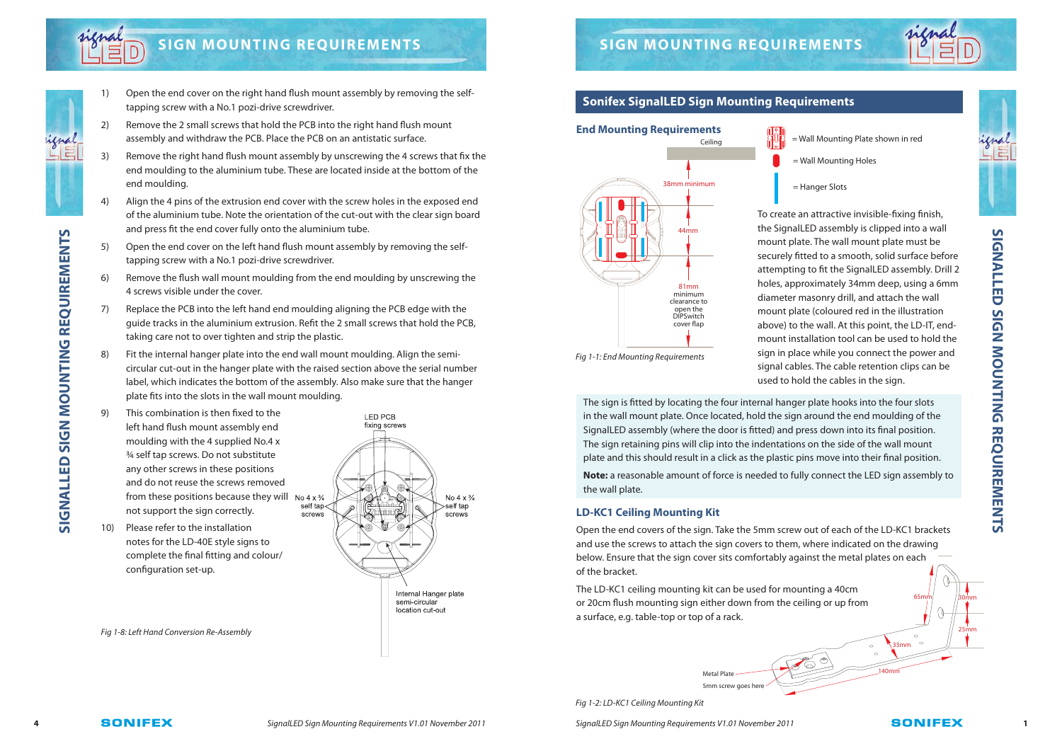

# **SIGN MOUNTING REQUIREMENTS** SIGN MOUNTING REQUIREMENTS

**SIGNALLED SIGN MOUNTING REQUIREMENTS**

**SIGNALLED SIGN MOUNTING REQUIREMENTS** 

- 1) Open the end cover on the right hand flush mount assembly by removing the selftapping screw with a No.1 pozi-drive screwdriver.
- 2) Remove the 2 small screws that hold the PCB into the right hand flush mount assembly and withdraw the PCB. Place the PCB on an antistatic surface.
- 3) Remove the right hand flush mount assembly by unscrewing the 4 screws that fix the end moulding to the aluminium tube. These are located inside at the bottom of the end moulding.
- 4) Align the 4 pins of the extrusion end cover with the screw holes in the exposed end of the aluminium tube. Note the orientation of the cut-out with the clear sign board and press fit the end cover fully onto the aluminium tube.
- 5) Open the end cover on the left hand flush mount assembly by removing the selftapping screw with a No.1 pozi-drive screwdriver.
- 6) Remove the flush wall mount moulding from the end moulding by unscrewing the 4 screws visible under the cover.
- 7) Replace the PCB into the left hand end moulding aligning the PCB edge with the guide tracks in the aluminium extrusion. Refit the 2 small screws that hold the PCB, taking care not to over tighten and strip the plastic.
- Fit the internal hanger plate into the end wall mount moulding. Align the semicircular cut-out in the hanger plate with the raised section above the serial number label, which indicates the bottom of the assembly. Also make sure that the hanger plate fits into the slots in the wall mount moulding.
- This combination is then fixed to the left hand flush mount assembly end moulding with the 4 supplied No.4 x ¾ self tap screws. Do not substitute any other screws in these positions and do not reuse the screws removed from these positions because they will No  $4 \times \frac{3}{4}$ not support the sign correctly. screws
- Please refer to the installation notes for the LD-40E style signs to complete the final fitting and colour/ configuration set-up.



Signall ED Sign Mounting Requirements V1.01 November 2011

Fig 1-8: Left Hand Conversion Re-Assembly

## **Sonifex SignalLED Sign Mounting Requirements**



- = Wall Mounting Plate shown in red
- = Wall Mounting Holes

= Hanger Slots

To create an attractive invisible-fixing finish, the SignalLED assembly is clipped into a wall mount plate. The wall mount plate must be securely fitted to a smooth, solid surface before attempting to fit the SignalLED assembly. Drill 2 holes, approximately 34mm deep, using a 6mm diameter masonry drill, and attach the wall mount plate (coloured red in the illustration above) to the wall. At this point, the LD-IT, endmount installation tool can be used to hold the sign in place while you connect the power and signal cables. The cable retention clips can be used to hold the cables in the sign.

Fig 1-1: End Mounting Requirements

The sign is fitted by locating the four internal hanger plate hooks into the four slots in the wall mount plate. Once located, hold the sign around the end moulding of the SignalLED assembly (where the door is fitted) and press down into its final position. The sign retaining pins will clip into the indentations on the side of the wall mount plate and this should result in a click as the plastic pins move into their final position. **Note:** a reasonable amount of force is needed to fully connect the LED sign assembly to the wall plate.

### **LD-KC1 Ceiling Mounting Kit**

Open the end covers of the sign. Take the 5mm screw out of each of the LD-KC1 brackets and use the screws to attach the sign covers to them, where indicated on the drawing below. Ensure that the sign cover sits comfortably against the metal plates on each of the bracket.

The LD-KC1 ceiling mounting kit can be used for mounting a 40cm or 20cm flush mounting sign either down from the ceiling or up from a surface, e.g. table-top or top of a rack.

> Metal Plate 5mm screw goes here

Fig 1-2: LD-KC1 Ceiling Mounting Kit

**4 ACILIBA SONIFEX** and SignalLED Sign Mounting Requirements V1.01 November 2011 **1 1** SignalLED Sign Mounting Requirements V1.01 November 2011 **ACILIBA SONIFEX** 1

33mm

140mm

65mm

 $\circ$ 

30mm

25mm